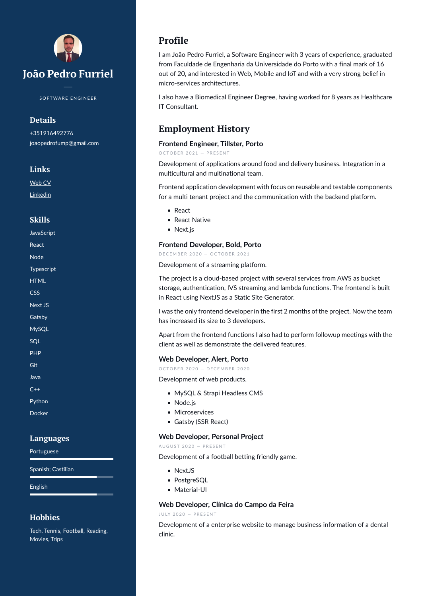

S O F T WARE ENGINEER

# **Details**

+351916492776 [joaopedrofump@gmail.com](mailto:joaopedrofump@gmail.com)

## **Links**

[Web CV](joaopedrofurriel.pt)

[Linkedin](https://www.linkedin.com/in/jo%25C3%25A3o-pedro-furriel-606a646b/)

# **Skills**

| JavaScript                |
|---------------------------|
| React                     |
| Node                      |
| Typescript                |
| <b>HTML</b>               |
| <b>CSS</b>                |
| <b>Next JS</b>            |
| Gatsby                    |
| <b>MySQL</b>              |
| SQL                       |
| PHP                       |
| $\overline{\mathsf{Git}}$ |
| Java                      |
| $C++$                     |
| Python                    |
| Docker                    |
|                           |
| ÷                         |

# **Languages**

Portuguese

Spanish; Castilian

English

### **Hobbies**

Tech, Tennis, Football, Reading, Movies, Trips

# **Profile**

I am João Pedro Furriel, a Software Engineer with 3 years of experience, graduated from Faculdade de Engenharia da Universidade do Porto with a final mark of 16 out of 20, and interested in Web, Mobile and IoT and with a very strong belief in micro-services architectures.

I also have a Biomedical Engineer Degree, having worked for 8 years as Healthcare IT Consultant.

# **Employment History**

### **Frontend Engineer, Tillster, Porto**

OCTOBER 2021 - PRESENT

Development of applications around food and delivery business. Integration in a multicultural and multinational team.

Frontend application development with focus on reusable and testable components for a multi tenant project and the communication with the backend platform.

- React
- React Native
- Next.js

### **Frontend Developer, Bold, Porto**

D E C E M B E R 2020 - O C T O B E R 2021

Development of a streaming platform.

The project is a cloud-based project with several services from AWS as bucket storage, authentication, IVS streaming and lambda functions. The frontend is built in React using NextJS as a Static Site Generator.

I was the only frontend developer in the first 2 months of the project. Now the team has increased its size to 3 developers.

Apart from the frontend functions I also had to perform followup meetings with the client as well as demonstrate the delivered features.

### **Web Developer, Alert, Porto**

O C T O B E R 2020 - D E C E M B E R 2020

Development of web products.

- MySQL & Strapi Headless CMS
- Node.js
- Microservices
- Gatsby (SSR React)

### **Web Developer, Personal Project**

AU GUST 2020 - PRESENT

Development of a football betting friendly game.

- NextJS
- PostgreSQL
- Material-UI

### **Web Developer, Clínica do Campo da Feira**

J U L Y 2020 - PRESENT

Development of a enterprise website to manage business information of a dental clinic.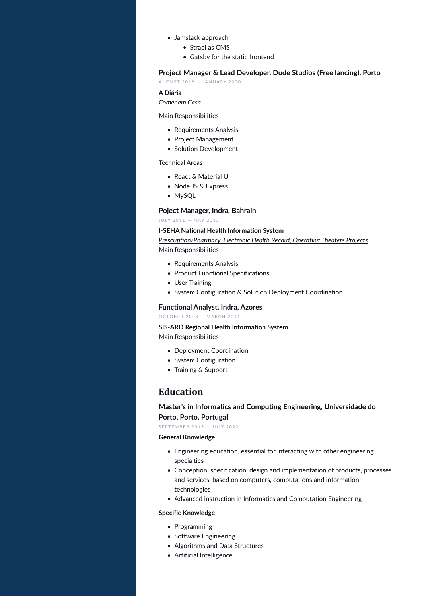- Jamstack approach
	- Strapi as CMS
	- Gatsby for the static frontend

#### **Project Manager & Lead Developer, Dude Studios (Free lancing), Porto**

AU GUST 2019 - JANUARY 2020

#### **A Diária**

### *Comer em Casa*

Main Responsibilities

- Requirements Analysis
- Project Management
- Solution Development

Technical Areas

- React & Material UI
- Node.JS & Express
- MySQL

#### **Poject Manager, Indra, Bahrain**

J U LY 2011 - MAY 2015

#### **I-SEHA National Health Information System**

*Prescription/Pharmacy, Electronic Health Record, Operating Theaters Projects* Main Responsibilities

- Requirements Analysis
- Product Functional Specifications
- User Training
- System Configuration & Solution Deployment Coordination

#### **Functional Analyst, Indra, Azores**

O C T O B E R 2008 - MARCH 2011

**SIS-ARD Regional Health Information System** Main Responsibilities

- Deployment Coordination
- System Configuration
- Training & Support

# **Education**

**Master's in Informatics and Computing Engineering, Universidade do Porto, Porto, Portugal**

S E P T E M B E R 2015 - JULY 2020

#### **General Knowledge**

- Engineering education, essential for interacting with other engineering specialties
- Conception, specification, design and implementation of products, processes and services, based on computers, computations and information technologies
- Advanced instruction in Informatics and Computation Engineering

#### **Specific Knowledge**

- Programming
- Software Engineering
- Algorithms and Data Structures
- Artificial Intelligence